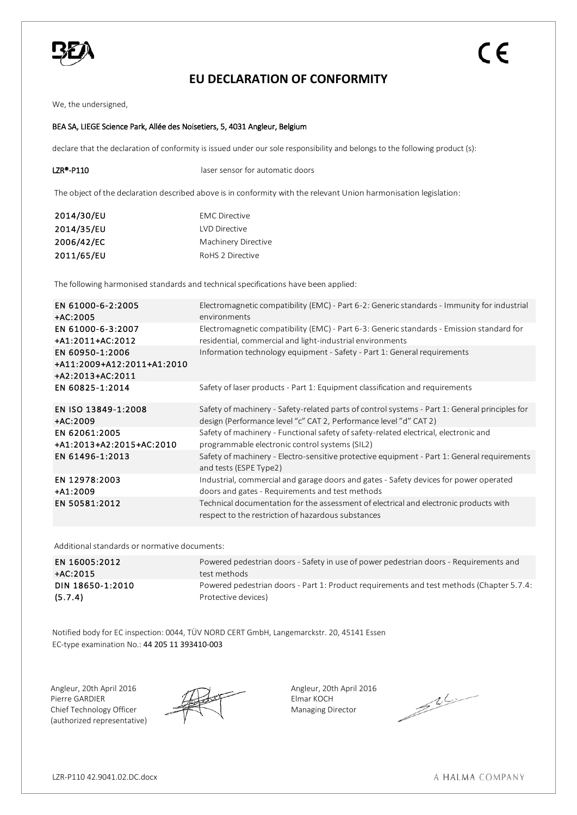

## **EU DECLARATION OF CONFORMITY**

We, the undersigned,

## BEA SA, LIEGE Science Park, Allée des Noisetiers, 5, 4031 Angleur, Belgium

declare that the declaration of conformity is issued under our sole responsibility and belongs to the following product (s):

| LZR®-P110 | laser sensor for automatic doors                                                                                  |
|-----------|-------------------------------------------------------------------------------------------------------------------|
|           | The object of the declaration described above is in conformity with the relevant Union harmonisation legislation: |

| 2014/30/EU | <b>EMC</b> Directive |
|------------|----------------------|
| 2014/35/EU | LVD Directive        |
| 2006/42/EC | Machinery Directive  |
| 2011/65/EU | RoHS 2 Directive     |

The following harmonised standards and technical specifications have been applied:

| EN 61000-6-2:2005<br>$+AC:2005$ | Electromagnetic compatibility (EMC) - Part 6-2: Generic standards - Immunity for industrial<br>environments                                 |
|---------------------------------|---------------------------------------------------------------------------------------------------------------------------------------------|
| EN 61000-6-3:2007               | Electromagnetic compatibility (EMC) - Part 6-3: Generic standards - Emission standard for                                                   |
| +A1:2011+AC:2012                | residential, commercial and light-industrial environments                                                                                   |
| EN 60950-1:2006                 | Information technology equipment - Safety - Part 1: General requirements                                                                    |
| +A11:2009+A12:2011+A1:2010      |                                                                                                                                             |
| +A2:2013+AC:2011                |                                                                                                                                             |
| EN 60825-1:2014                 | Safety of laser products - Part 1: Equipment classification and requirements                                                                |
| EN ISO 13849-1:2008             | Safety of machinery - Safety-related parts of control systems - Part 1: General principles for                                              |
| $+AC:2009$                      | design (Performance level "c" CAT 2, Performance level "d" CAT 2)                                                                           |
| EN 62061:2005                   | Safety of machinery - Functional safety of safety-related electrical, electronic and                                                        |
| +A1:2013+A2:2015+AC:2010        | programmable electronic control systems (SIL2)                                                                                              |
| EN 61496-1:2013                 | Safety of machinery - Electro-sensitive protective equipment - Part 1: General requirements<br>and tests (ESPE Type2)                       |
| EN 12978:2003                   | Industrial, commercial and garage doors and gates - Safety devices for power operated                                                       |
| $+A1:2009$                      | doors and gates - Requirements and test methods                                                                                             |
| EN 50581:2012                   | Technical documentation for the assessment of electrical and electronic products with<br>respect to the restriction of hazardous substances |

Additional standards or normative documents:

| EN 16005:2012    | Powered pedestrian doors - Safety in use of power pedestrian doors - Requirements and    |
|------------------|------------------------------------------------------------------------------------------|
| +AC:2015         | test methods                                                                             |
| DIN 18650-1:2010 | Powered pedestrian doors - Part 1: Product requirements and test methods (Chapter 5.7.4: |
| (5.7.4)          | Protective devices)                                                                      |

Notified body for EC inspection: 0044, TÜV NORD CERT GmbH, Langemarckstr. 20, 45141 Essen EC-type examination No.: 44 205 11 393410-003

Angleur, 20th April 2016 Angleur, 20th April 2016 Pierre GARDIER Elmar KOCH Chief Technology Officer (authorized representative)



Managing Director

 $\mathbb{Z}$ 

A HALMA COMPANY

CE